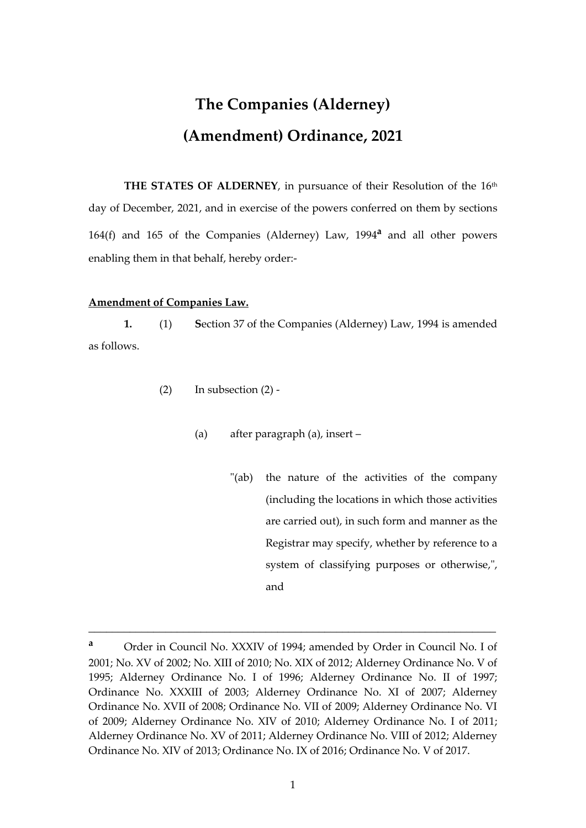## **The Companies (Alderney) (Amendment) Ordinance, 2021**

**THE STATES OF ALDERNEY**, in pursuance of their Resolution of the 16th day of December, 2021, and in exercise of the powers conferred on them by sections 164(f) and 165 of the Companies (Alderney) Law, 1994**<sup>a</sup>** and all other powers enabling them in that behalf, hereby order:-

## **Amendment of Companies Law.**

**1.** (1) **S**ection 37 of the Companies (Alderney) Law, 1994 is amended as follows.

- $(2)$  In subsection  $(2)$  -
	- (a) after paragraph (a), insert
		- "(ab) the nature of the activities of the company (including the locations in which those activities are carried out), in such form and manner as the Registrar may specify, whether by reference to a system of classifying purposes or otherwise,", and

\_\_\_\_\_\_\_\_\_\_\_\_\_\_\_\_\_\_\_\_\_\_\_\_\_\_\_\_\_\_\_\_\_\_\_\_\_\_\_\_\_\_\_\_\_\_\_\_\_\_\_\_\_\_\_\_\_\_\_\_\_\_\_\_\_\_\_\_\_

**<sup>a</sup>** Order in Council No. XXXIV of 1994; amended by Order in Council No. I of 2001; No. XV of 2002; No. XIII of 2010; No. XIX of 2012; Alderney Ordinance No. V of 1995; Alderney Ordinance No. I of 1996; Alderney Ordinance No. II of 1997; Ordinance No. XXXIII of 2003; Alderney Ordinance No. XI of 2007; Alderney Ordinance No. XVII of 2008; Ordinance No. VII of 2009; Alderney Ordinance No. VI of 2009; Alderney Ordinance No. XIV of 2010; Alderney Ordinance No. I of 2011; Alderney Ordinance No. XV of 2011; Alderney Ordinance No. VIII of 2012; Alderney Ordinance No. XIV of 2013; Ordinance No. IX of 2016; Ordinance No. V of 2017.